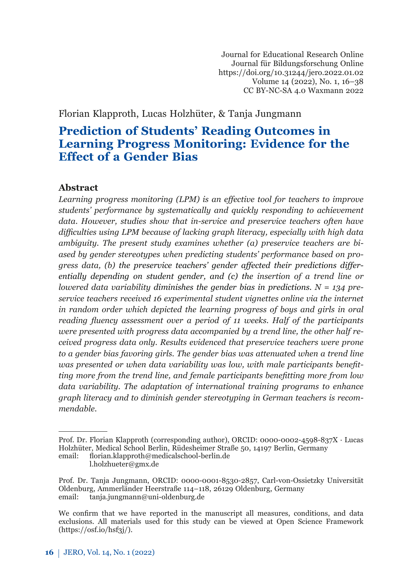Journal for Educational Research Online Journal für Bildungsforschung Online https://doi.org/10.31244/jero.2022.01.02 Volume 14 (2022), No. 1, 16–38 CC BY-NC-SA 4.0 Waxmann 2022

# Florian Klapproth, Lucas Holzhüter, & Tanja Jungmann

# **Prediction of Students' Reading Outcomes in Learning Progress Monitoring: Evidence for the Effect of a Gender Bias**

### **Abstract***<sup>1</sup>*

*Learning progress monitoring (LPM) is an effective tool for teachers to improve students' performance by systematically and quickly responding to achievement data. However, studies show that in-service and preservice teachers often have difficulties using LPM because of lacking graph literacy, especially with high data ambiguity. The present study examines whether (a) preservice teachers are biased by gender stereotypes when predicting students' performance based on progress data, (b) the preservice teachers' gender affected their predictions differentially depending on student gender, and (c) the insertion of a trend line or lowered data variability diminishes the gender bias in predictions. N = 134 preservice teachers received 16 experimental student vignettes online via the internet in random order which depicted the learning progress of boys and girls in oral reading fluency assessment over a period of 11 weeks. Half of the participants were presented with progress data accompanied by a trend line, the other half received progress data only. Results evidenced that preservice teachers were prone to a gender bias favoring girls. The gender bias was attenuated when a trend line was presented or when data variability was low, with male participants benefitting more from the trend line, and female participants benefitting more from low data variability. The adaptation of international training programs to enhance graph literacy and to diminish gender stereotyping in German teachers is recommendable.*

l.holzhueter@gmx.de

Prof. Dr. Florian Klapproth (corresponding author), ORCID: 0000-0002-4598-837X · Lucas Holzhüter, Medical School Berlin, Rüdesheimer Straße 50, 14197 Berlin, Germany email: florian.klapproth@medicalschool-berlin.de

Prof. Dr. Tanja Jungmann, ORCID: 0000-0001-8530-2857, Carl-von-Ossietzky Universität Oldenburg, Ammerländer Heerstraße 114–118, 26129 Oldenburg, Germany email: tanja.jungmann@uni-oldenburg.de

We confirm that we have reported in the manuscript all measures, conditions, and data exclusions. All materials used for this study can be viewed at Open Science Framework (https://osf.io/hsf3j/).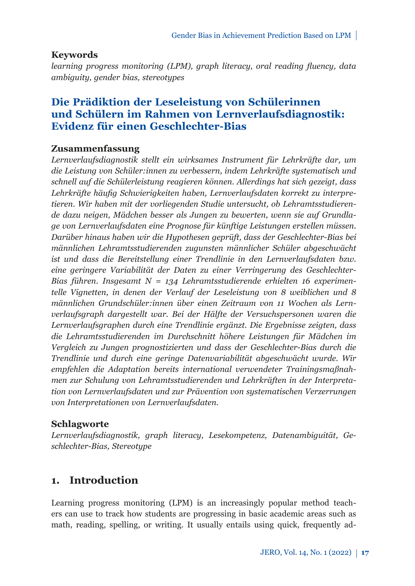# **Keywords**

*learning progress monitoring (LPM), graph literacy, oral reading fluency, data ambiguity, gender bias, stereotypes*

# **Die Prädiktion der Leseleistung von Schülerinnen und Schülern im Rahmen von Lernverlaufsdiagnostik: Evidenz für einen Geschlechter-Bias**

## **Zusammenfassung**

*Lernverlaufsdiagnostik stellt ein wirksames Instrument für Lehrkräfte dar, um die Leistung von Schüler:innen zu verbessern, indem Lehrkräfte systematisch und schnell auf die Schülerleistung reagieren können. Allerdings hat sich gezeigt, dass Lehrkräfte häufig Schwierigkeiten haben, Lernverlaufsdaten korrekt zu interpretieren. Wir haben mit der vorliegenden Studie untersucht, ob Lehramtsstudierende dazu neigen, Mädchen besser als Jungen zu bewerten, wenn sie auf Grundlage von Lernverlaufsdaten eine Prognose für künftige Leistungen erstellen müssen. Darüber hinaus haben wir die Hypothesen geprüft, dass der Geschlechter-Bias bei männlichen Lehramtsstudierenden zugunsten männlicher Schüler abgeschwächt ist und dass die Bereitstellung einer Trendlinie in den Lernverlaufsdaten bzw. eine geringere Variabilität der Daten zu einer Verringerung des Geschlechter-Bias führen. Insgesamt N = 134 Lehramtsstudierende erhielten 16 experimentelle Vignetten, in denen der Verlauf der Leseleistung von 8 weiblichen und 8 männlichen Grundschüler:innen über einen Zeitraum von 11 Wochen als Lernverlaufsgraph dargestellt war. Bei der Hälfte der Versuchspersonen waren die Lernverlaufsgraphen durch eine Trendlinie ergänzt. Die Ergebnisse zeigten, dass die Lehramtsstudierenden im Durchschnitt höhere Leistungen für Mädchen im Vergleich zu Jungen prognostizierten und dass der Geschlechter-Bias durch die Trendlinie und durch eine geringe Datenvariabilität abgeschwächt wurde. Wir empfehlen die Adaptation bereits international verwendeter Trainingsmaßnahmen zur Schulung von Lehramtsstudierenden und Lehrkräften in der Interpretation von Lernverlaufsdaten und zur Prävention von systematischen Verzerrungen von Interpretationen von Lernverlaufsdaten.*

# **Schlagworte**

*Lernverlaufsdiagnostik, graph literacy, Lesekompetenz, Datenambiguität, Geschlechter-Bias, Stereotype*

# **1. Introduction**

Learning progress monitoring (LPM) is an increasingly popular method teachers can use to track how students are progressing in basic academic areas such as math, reading, spelling, or writing. It usually entails using quick, frequently ad-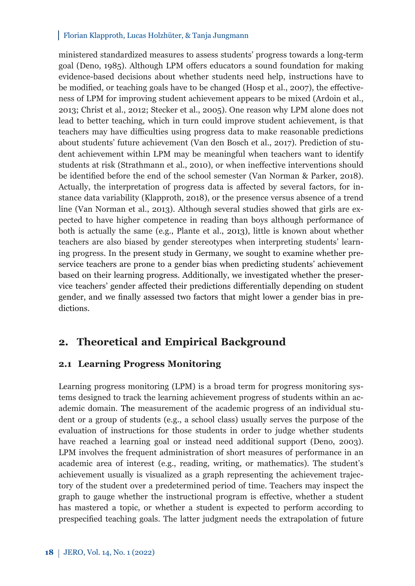ministered standardized measures to assess students' progress towards a long-term goal (Deno, 1985). Although LPM offers educators a sound foundation for making evidence-based decisions about whether students need help, instructions have to be modified, or teaching goals have to be changed (Hosp et al., 2007), the effectiveness of LPM for improving student achievement appears to be mixed (Ardoin et al., 2013; Christ et al., 2012; Stecker et al., 2005). One reason why LPM alone does not lead to better teaching, which in turn could improve student achievement, is that teachers may have difficulties using progress data to make reasonable predictions about students' future achievement (Van den Bosch et al., 2017). Prediction of student achievement within LPM may be meaningful when teachers want to identify students at risk (Strathmann et al., 2010), or when ineffective interventions should be identified before the end of the school semester (Van Norman & Parker, 2018). Actually, the interpretation of progress data is affected by several factors, for instance data variability (Klapproth, 2018), or the presence versus absence of a trend line (Van Norman et al., 2013). Although several studies showed that girls are expected to have higher competence in reading than boys although performance of both is actually the same (e.g., Plante et al., 2013), little is known about whether teachers are also biased by gender stereotypes when interpreting students' learning progress. In the present study in Germany, we sought to examine whether preservice teachers are prone to a gender bias when predicting students' achievement based on their learning progress. Additionally, we investigated whether the preservice teachers' gender affected their predictions differentially depending on student gender, and we finally assessed two factors that might lower a gender bias in predictions.

# **2. Theoretical and Empirical Background**

## **2.1 Learning Progress Monitoring**

Learning progress monitoring (LPM) is a broad term for progress monitoring systems designed to track the learning achievement progress of students within an academic domain. The measurement of the academic progress of an individual student or a group of students (e.g., a school class) usually serves the purpose of the evaluation of instructions for those students in order to judge whether students have reached a learning goal or instead need additional support (Deno, 2003). LPM involves the frequent administration of short measures of performance in an academic area of interest (e.g., reading, writing, or mathematics). The student's achievement usually is visualized as a graph representing the achievement trajectory of the student over a predetermined period of time. Teachers may inspect the graph to gauge whether the instructional program is effective, whether a student has mastered a topic, or whether a student is expected to perform according to prespecified teaching goals. The latter judgment needs the extrapolation of future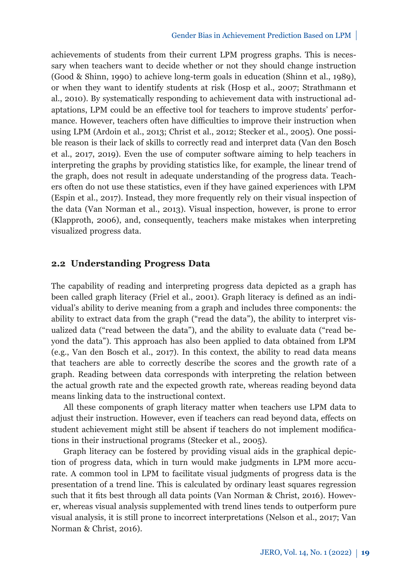achievements of students from their current LPM progress graphs. This is necessary when teachers want to decide whether or not they should change instruction (Good & Shinn, 1990) to achieve long-term goals in education (Shinn et al., 1989), or when they want to identify students at risk (Hosp et al., 2007; Strathmann et al., 2010). By systematically responding to achievement data with instructional adaptations, LPM could be an effective tool for teachers to improve students' performance. However, teachers often have difficulties to improve their instruction when using LPM (Ardoin et al., 2013; Christ et al., 2012; Stecker et al., 2005). One possible reason is their lack of skills to correctly read and interpret data (Van den Bosch et al., 2017, 2019). Even the use of computer software aiming to help teachers in interpreting the graphs by providing statistics like, for example, the linear trend of the graph, does not result in adequate understanding of the progress data. Teachers often do not use these statistics, even if they have gained experiences with LPM (Espin et al., 2017). Instead, they more frequently rely on their visual inspection of the data (Van Norman et al., 2013). Visual inspection, however, is prone to error (Klapproth, 2006), and, consequently, teachers make mistakes when interpreting visualized progress data.

## **2.2 Understanding Progress Data**

The capability of reading and interpreting progress data depicted as a graph has been called graph literacy (Friel et al., 2001). Graph literacy is defined as an individual's ability to derive meaning from a graph and includes three components: the ability to extract data from the graph ("read the data"), the ability to interpret visualized data ("read between the data"), and the ability to evaluate data ("read beyond the data"). This approach has also been applied to data obtained from LPM (e.g., Van den Bosch et al., 2017). In this context, the ability to read data means that teachers are able to correctly describe the scores and the growth rate of a graph. Reading between data corresponds with interpreting the relation between the actual growth rate and the expected growth rate, whereas reading beyond data means linking data to the instructional context.

All these components of graph literacy matter when teachers use LPM data to adjust their instruction. However, even if teachers can read beyond data, effects on student achievement might still be absent if teachers do not implement modifications in their instructional programs (Stecker et al., 2005).

Graph literacy can be fostered by providing visual aids in the graphical depiction of progress data, which in turn would make judgments in LPM more accurate. A common tool in LPM to facilitate visual judgments of progress data is the presentation of a trend line. This is calculated by ordinary least squares regression such that it fits best through all data points (Van Norman & Christ, 2016). However, whereas visual analysis supplemented with trend lines tends to outperform pure visual analysis, it is still prone to incorrect interpretations (Nelson et al., 2017; Van Norman & Christ, 2016).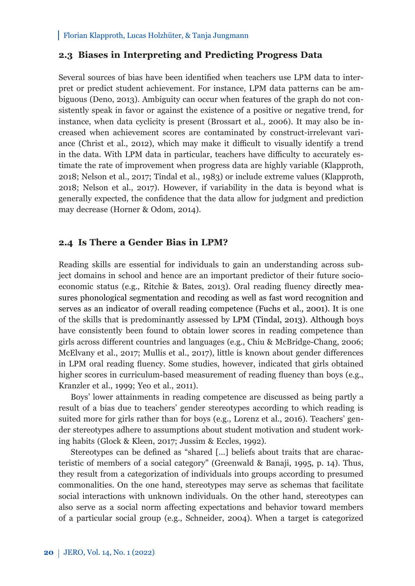## **2.3 Biases in Interpreting and Predicting Progress Data**

Several sources of bias have been identified when teachers use LPM data to interpret or predict student achievement. For instance, LPM data patterns can be ambiguous (Deno, 2013). Ambiguity can occur when features of the graph do not consistently speak in favor or against the existence of a positive or negative trend, for instance, when data cyclicity is present (Brossart et al., 2006). It may also be increased when achievement scores are contaminated by construct-irrelevant variance (Christ et al., 2012), which may make it difficult to visually identify a trend in the data. With LPM data in particular, teachers have difficulty to accurately estimate the rate of improvement when progress data are highly variable (Klapproth, 2018; Nelson et al., 2017; Tindal et al., 1983) or include extreme values (Klapproth, 2018; Nelson et al., 2017). However, if variability in the data is beyond what is generally expected, the confidence that the data allow for judgment and prediction may decrease (Horner & Odom, 2014).

### **2.4 Is There a Gender Bias in LPM?**

Reading skills are essential for individuals to gain an understanding across subject domains in school and hence are an important predictor of their future socioeconomic status (e.g., Ritchie & Bates, 2013). Oral reading fluency directly measures phonological segmentation and recoding as well as fast word recognition and serves as an indicator of overall reading competence (Fuchs et al., 2001). It is one of the skills that is predominantly assessed by LPM (Tindal, 2013). Although boys have consistently been found to obtain lower scores in reading competence than girls across different countries and languages (e.g., Chiu & McBridge-Chang, 2006; McElvany et al., 2017; Mullis et al., 2017), little is known about gender differences in LPM oral reading fluency. Some studies, however, indicated that girls obtained higher scores in curriculum-based measurement of reading fluency than boys (e.g., Kranzler et al., 1999; Yeo et al., 2011).

Boys' lower attainments in reading competence are discussed as being partly a result of a bias due to teachers' gender stereotypes according to which reading is suited more for girls rather than for boys (e.g., Lorenz et al., 2016). Teachers' gender stereotypes adhere to assumptions about student motivation and student working habits (Glock & Kleen, 2017; Jussim & Eccles, 1992).

Stereotypes can be defined as "shared […] beliefs about traits that are characteristic of members of a social category" (Greenwald & Banaji, 1995, p. 14). Thus, they result from a categorization of individuals into groups according to presumed commonalities. On the one hand, stereotypes may serve as schemas that facilitate social interactions with unknown individuals. On the other hand, stereotypes can also serve as a social norm affecting expectations and behavior toward members of a particular social group (e.g., Schneider, 2004). When a target is categorized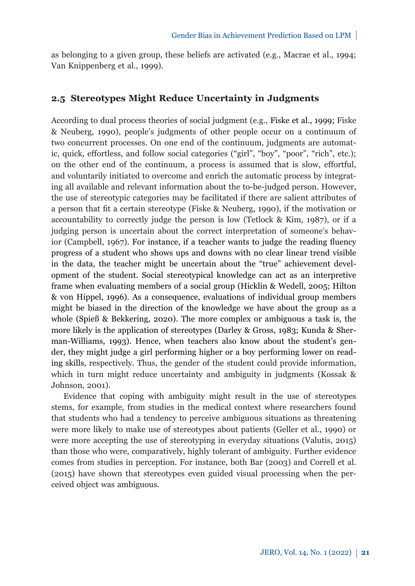as belonging to a given group, these beliefs are activated (e.g., Macrae et al., 1994; Van Knippenberg et al., 1999).

## **2.5 Stereotypes Might Reduce Uncertainty in Judgments**

According to dual process theories of social judgment (e.g., Fiske et al., 1999; Fiske & Neuberg, 1990), people's judgments of other people occur on a continuum of two concurrent processes. On one end of the continuum, judgments are automatic, quick, effortless, and follow social categories ("girl", "boy", "poor", "rich", etc.); on the other end of the continuum, a process is assumed that is slow, effortful, and voluntarily initiated to overcome and enrich the automatic process by integrating all available and relevant information about the to-be-judged person. However, the use of stereotypic categories may be facilitated if there are salient attributes of a person that fit a certain stereotype (Fiske & Neuberg, 1990), if the motivation or accountability to correctly judge the person is low (Tetlock & Kim, 1987), or if a judging person is uncertain about the correct interpretation of someone's behavior (Campbell, 1967). For instance, if a teacher wants to judge the reading fluency progress of a student who shows ups and downs with no clear linear trend visible in the data, the teacher might be uncertain about the "true" achievement development of the student. Social stereotypical knowledge can act as an interpretive frame when evaluating members of a social group (Hicklin & Wedell, 2005; Hilton & von Hippel, 1996). As a consequence, evaluations of individual group members might be biased in the direction of the knowledge we have about the group as a whole (Spieß & Bekkering, 2020). The more complex or ambiguous a task is, the more likely is the application of stereotypes (Darley & Gross, 1983; Kunda & Sherman-Williams, 1993). Hence, when teachers also know about the student's gender, they might judge a girl performing higher or a boy performing lower on reading skills, respectively. Thus, the gender of the student could provide information, which in turn might reduce uncertainty and ambiguity in judgments (Kossak & Johnson, 2001).

Evidence that coping with ambiguity might result in the use of stereotypes stems, for example, from studies in the medical context where researchers found that students who had a tendency to perceive ambiguous situations as threatening were more likely to make use of stereotypes about patients (Geller et al., 1990) or were more accepting the use of stereotyping in everyday situations (Valutis, 2015) than those who were, comparatively, highly tolerant of ambiguity. Further evidence comes from studies in perception. For instance, both Bar (2003) and Correll et al. (2015) have shown that stereotypes even guided visual processing when the perceived object was ambiguous.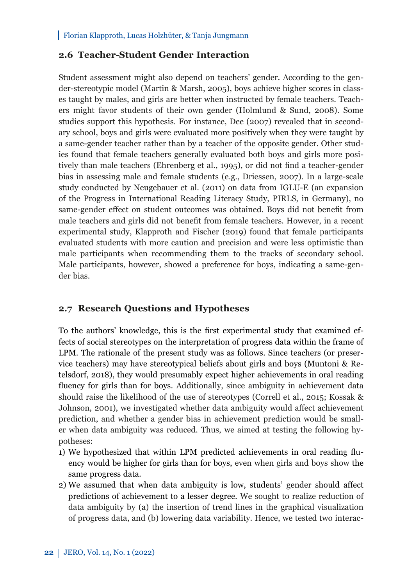# **2.6 Teacher-Student Gender Interaction**

Student assessment might also depend on teachers' gender. According to the gender-stereotypic model (Martin & Marsh, 2005), boys achieve higher scores in classes taught by males, and girls are better when instructed by female teachers. Teachers might favor students of their own gender (Holmlund & Sund, 2008). Some studies support this hypothesis. For instance, Dee (2007) revealed that in secondary school, boys and girls were evaluated more positively when they were taught by a same-gender teacher rather than by a teacher of the opposite gender. Other studies found that female teachers generally evaluated both boys and girls more positively than male teachers (Ehrenberg et al., 1995), or did not find a teacher-gender bias in assessing male and female students (e.g., Driessen, 2007). In a large-scale study conducted by Neugebauer et al. (2011) on data from IGLU-E (an expansion of the Progress in International Reading Literacy Study, PIRLS, in Germany), no same-gender effect on student outcomes was obtained. Boys did not benefit from male teachers and girls did not benefit from female teachers. However, in a recent experimental study, Klapproth and Fischer (2019) found that female participants evaluated students with more caution and precision and were less optimistic than male participants when recommending them to the tracks of secondary school. Male participants, however, showed a preference for boys, indicating a same-gender bias.

# **2.7 Research Questions and Hypotheses**

To the authors' knowledge, this is the first experimental study that examined effects of social stereotypes on the interpretation of progress data within the frame of LPM. The rationale of the present study was as follows. Since teachers (or preservice teachers) may have stereotypical beliefs about girls and boys (Muntoni & Retelsdorf, 2018), they would presumably expect higher achievements in oral reading fluency for girls than for boys. Additionally, since ambiguity in achievement data should raise the likelihood of the use of stereotypes (Correll et al., 2015; Kossak & Johnson, 2001), we investigated whether data ambiguity would affect achievement prediction, and whether a gender bias in achievement prediction would be smaller when data ambiguity was reduced. Thus, we aimed at testing the following hypotheses:

- 1) We hypothesized that within LPM predicted achievements in oral reading fluency would be higher for girls than for boys, even when girls and boys show the same progress data.
- 2) We assumed that when data ambiguity is low, students' gender should affect predictions of achievement to a lesser degree. We sought to realize reduction of data ambiguity by (a) the insertion of trend lines in the graphical visualization of progress data, and (b) lowering data variability. Hence, we tested two interac-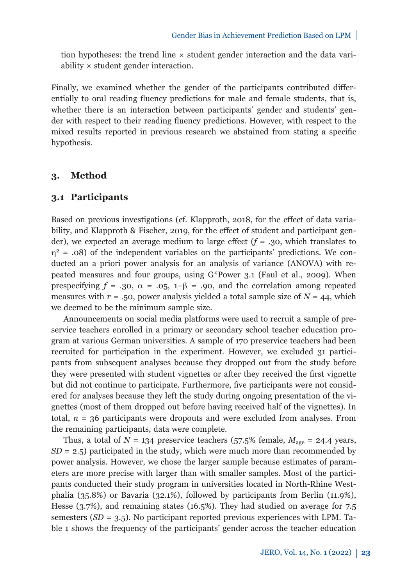tion hypotheses: the trend line  $\times$  student gender interaction and the data variability × student gender interaction.

Finally, we examined whether the gender of the participants contributed differentially to oral reading fluency predictions for male and female students, that is, whether there is an interaction between participants' gender and students' gender with respect to their reading fluency predictions. However, with respect to the mixed results reported in previous research we abstained from stating a specific hypothesis.

### **3. Method**

### **3.1 Participants**

Based on previous investigations (cf. Klapproth, 2018, for the effect of data variability, and Klapproth & Fischer, 2019, for the effect of student and participant gender), we expected an average medium to large effect  $(f = .30,$  which translates to  $\eta^2$  = .08) of the independent variables on the participants' predictions. We conducted an a priori power analysis for an analysis of variance (ANOVA) with repeated measures and four groups, using G\*Power 3.1 (Faul et al., 2009). When prespecifying  $f = .30$ ,  $\alpha = .05$ ,  $1-\beta = .90$ , and the correlation among repeated measures with  $r = .50$ , power analysis yielded a total sample size of  $N = 44$ , which we deemed to be the minimum sample size.

Announcements on social media platforms were used to recruit a sample of preservice teachers enrolled in a primary or secondary school teacher education program at various German universities. A sample of 170 preservice teachers had been recruited for participation in the experiment. However, we excluded 31 participants from subsequent analyses because they dropped out from the study before they were presented with student vignettes or after they received the first vignette but did not continue to participate. Furthermore, five participants were not considered for analyses because they left the study during ongoing presentation of the vignettes (most of them dropped out before having received half of the vignettes). In total,  $n = 36$  participants were dropouts and were excluded from analyses. From the remaining participants, data were complete.

Thus, a total of  $N = 134$  preservice teachers (57.5% female,  $M_{\text{age}} = 24.4$  years,  $SD = 2.5$ ) participated in the study, which were much more than recommended by power analysis. However, we chose the larger sample because estimates of parameters are more precise with larger than with smaller samples. Most of the participants conducted their study program in universities located in North-Rhine Westphalia (35.8%) or Bavaria (32.1%), followed by participants from Berlin (11.9%), Hesse (3.7%), and remaining states (16.5%). They had studied on average for 7.5 semesters (*SD* = 3.5). No participant reported previous experiences with LPM. Table 1 shows the frequency of the participants' gender across the teacher education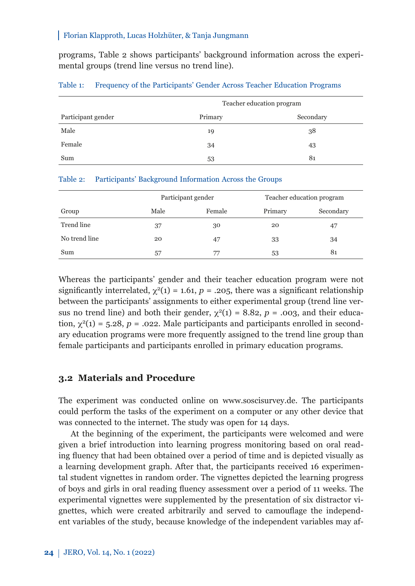programs, Table 2 shows participants' background information across the experimental groups (trend line versus no trend line).

|                    | Teacher education program |           |  |  |
|--------------------|---------------------------|-----------|--|--|
| Participant gender | Primary                   | Secondary |  |  |
| Male               | 19                        | 38        |  |  |
| Female             | 34                        | 43        |  |  |
| Sum                | 53                        | 81        |  |  |

#### Table 1: Frequency of the Participants' Gender Across Teacher Education Programs

#### Table 2: Participants' Background Information Across the Groups

|               | Participant gender |        | Teacher education program |           |
|---------------|--------------------|--------|---------------------------|-----------|
| Group         | Male               | Female | Primary                   | Secondary |
| Trend line    | 37                 | 30     | 20                        | 47        |
| No trend line | 20                 | 47     | 33                        | 34        |
| Sum           | 57                 | 77     | 53                        | 81        |

Whereas the participants' gender and their teacher education program were not significantly interrelated,  $\chi^2(1) = 1.61$ ,  $p = .205$ , there was a significant relationship between the participants' assignments to either experimental group (trend line versus no trend line) and both their gender,  $\chi^2(1) = 8.82$ ,  $p = .003$ , and their education,  $\chi^2(1) = 5.28$ ,  $p = .022$ . Male participants and participants enrolled in secondary education programs were more frequently assigned to the trend line group than female participants and participants enrolled in primary education programs.

### **3.2 Materials and Procedure**

The experiment was conducted online on www.soscisurvey.de. The participants could perform the tasks of the experiment on a computer or any other device that was connected to the internet. The study was open for 14 days.

At the beginning of the experiment, the participants were welcomed and were given a brief introduction into learning progress monitoring based on oral reading fluency that had been obtained over a period of time and is depicted visually as a learning development graph. After that, the participants received 16 experimental student vignettes in random order. The vignettes depicted the learning progress of boys and girls in oral reading fluency assessment over a period of 11 weeks. The experimental vignettes were supplemented by the presentation of six distractor vignettes, which were created arbitrarily and served to camouflage the independent variables of the study, because knowledge of the independent variables may af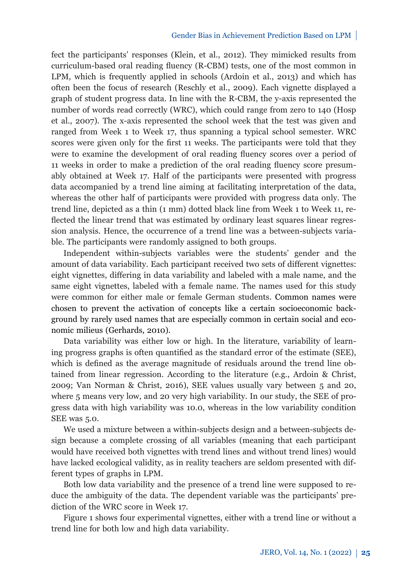fect the participants' responses (Klein, et al., 2012). They mimicked results from curriculum-based oral reading fluency (R-CBM) tests, one of the most common in LPM, which is frequently applied in schools (Ardoin et al., 2013) and which has often been the focus of research (Reschly et al., 2009). Each vignette displayed a graph of student progress data. In line with the R-CBM, the y-axis represented the number of words read correctly (WRC), which could range from zero to 140 (Hosp et al., 2007). The x-axis represented the school week that the test was given and ranged from Week 1 to Week 17, thus spanning a typical school semester. WRC scores were given only for the first 11 weeks. The participants were told that they were to examine the development of oral reading fluency scores over a period of 11 weeks in order to make a prediction of the oral reading fluency score presumably obtained at Week 17. Half of the participants were presented with progress data accompanied by a trend line aiming at facilitating interpretation of the data, whereas the other half of participants were provided with progress data only. The trend line, depicted as a thin (1 mm) dotted black line from Week 1 to Week 11, reflected the linear trend that was estimated by ordinary least squares linear regression analysis. Hence, the occurrence of a trend line was a between-subjects variable. The participants were randomly assigned to both groups.

Independent within-subjects variables were the students' gender and the amount of data variability. Each participant received two sets of different vignettes: eight vignettes, differing in data variability and labeled with a male name, and the same eight vignettes, labeled with a female name. The names used for this study were common for either male or female German students. Common names were chosen to prevent the activation of concepts like a certain socioeconomic background by rarely used names that are especially common in certain social and economic milieus (Gerhards, 2010).

Data variability was either low or high. In the literature, variability of learning progress graphs is often quantified as the standard error of the estimate (SEE), which is defined as the average magnitude of residuals around the trend line obtained from linear regression. According to the literature (e.g., Ardoin & Christ, 2009; Van Norman & Christ, 2016), SEE values usually vary between 5 and 20, where 5 means very low, and 20 very high variability. In our study, the SEE of progress data with high variability was 10.0, whereas in the low variability condition SEE was 5.0.

We used a mixture between a within-subjects design and a between-subjects design because a complete crossing of all variables (meaning that each participant would have received both vignettes with trend lines and without trend lines) would have lacked ecological validity, as in reality teachers are seldom presented with different types of graphs in LPM.

Both low data variability and the presence of a trend line were supposed to reduce the ambiguity of the data. The dependent variable was the participants' prediction of the WRC score in Week 17.

Figure 1 shows four experimental vignettes, either with a trend line or without a trend line for both low and high data variability.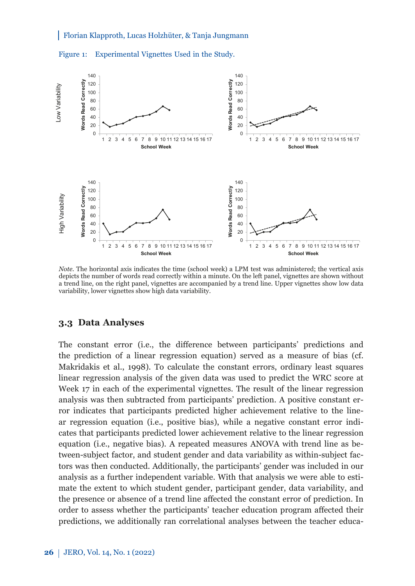



*Note.* The horizontal axis indicates the time (school week) a LPM test was administered; the vertical axis depicts the number of words read correctly within a minute. On the left panel, vignettes are shown without a trend line, on the right panel, vignettes are accompanied by a trend line. Upper vignettes show low data variability, lower vignettes show high data variability.

#### **3.3 Data Analyses**

The constant error (i.e., the difference between participants' predictions and the prediction of a linear regression equation) served as a measure of bias (cf. Makridakis et al., 1998). To calculate the constant errors, ordinary least squares linear regression analysis of the given data was used to predict the WRC score at Week 17 in each of the experimental vignettes. The result of the linear regression analysis was then subtracted from participants' prediction. A positive constant error indicates that participants predicted higher achievement relative to the linear regression equation (i.e., positive bias), while a negative constant error indicates that participants predicted lower achievement relative to the linear regression equation (i.e., negative bias). A repeated measures ANOVA with trend line as between-subject factor, and student gender and data variability as within-subject factors was then conducted. Additionally, the participants' gender was included in our analysis as a further independent variable. With that analysis we were able to estimate the extent to which student gender, participant gender, data variability, and the presence or absence of a trend line affected the constant error of prediction. In order to assess whether the participants' teacher education program affected their predictions, we additionally ran correlational analyses between the teacher educa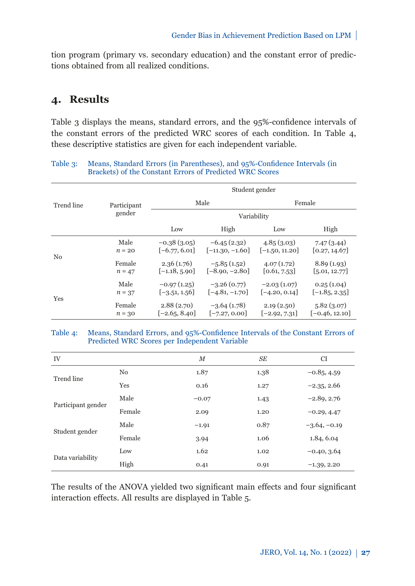tion program (primary vs. secondary education) and the constant error of predictions obtained from all realized conditions.

# **4. Results**

Table 3 displays the means, standard errors, and the 95%-confidence intervals of the constant errors of the predicted WRC scores of each condition. In Table 4, these descriptive statistics are given for each independent variable.

#### Table 3: Means, Standard Errors (in Parentheses), and 95%-Confidence Intervals (in Brackets) of the Constant Errors of Predicted WRC Scores

|                |                    | Student gender                   |                                    |                                  |                                |
|----------------|--------------------|----------------------------------|------------------------------------|----------------------------------|--------------------------------|
| Trend line     | Participant        | Male                             |                                    | Female                           |                                |
|                | gender             | Variability                      |                                    |                                  |                                |
|                |                    | Low                              | High                               | Low                              | High                           |
| N <sub>0</sub> | Male<br>$n = 20$   | $-0.38(3.05)$<br>$[-6.77, 6.01]$ | $-6.45(2.32)$<br>$[-11.30, -1.60]$ | 4.85(3.03)<br>$[-1.50, 11.20]$   | 7.47(3.44)<br>[0.27, 14.67]    |
|                | Female<br>$n = 47$ | 2.36(1.76)<br>$[-1.18, 5.90]$    | $-5.85(1.52)$<br>$[-8.90, -2.80]$  | 4.07(1.72)<br>[0.61, 7.53]       | 8.89(1.93)<br>[5.01, 12.77]    |
| Yes            | Male<br>$n = 37$   | $-0.97(1.25)$<br>$[-3.51, 1.56]$ | $-3.26(0.77)$<br>$[-4.81, -1.70]$  | $-2.03(1.07)$<br>$[-4.20, 0.14]$ | 0.25(1.04)<br>$[-1.85, 2.35]$  |
|                | Female<br>$n = 30$ | 2.88(2.70)<br>$[-2.65, 8.40]$    | $-3.64(1.78)$<br>$[-7.27, 0.00]$   | 2.19(2.50)<br>$[-2.92, 7.31]$    | 5.82(3.07)<br>$[-0.46, 12.10]$ |

#### Table 4: Means, Standard Errors, and 95%-Confidence Intervals of the Constant Errors of Predicted WRC Scores per Independent Variable

| IV                 |                | М       | SE   | <b>CI</b>      |
|--------------------|----------------|---------|------|----------------|
| Trend line         | N <sub>0</sub> | 1.87    | 1.38 | $-0.85, 4.59$  |
|                    | Yes            | 0.16    | 1.27 | $-2.35, 2.66$  |
| Participant gender | Male           | $-0.07$ | 1.43 | $-2.89, 2.76$  |
|                    | Female         | 2.09    | 1.20 | $-0.29, 4.47$  |
| Student gender     | Male           | $-1.91$ | 0.87 | $-3.64, -0.19$ |
|                    | Female         | 3.94    | 1.06 | 1.84, 6.04     |
| Data variability   | Low            | 1.62    | 1.02 | $-0.40, 3.64$  |
|                    | High           | 0.41    | 0.91 | $-1.39, 2.20$  |

The results of the ANOVA yielded two significant main effects and four significant interaction effects. All results are displayed in Table 5.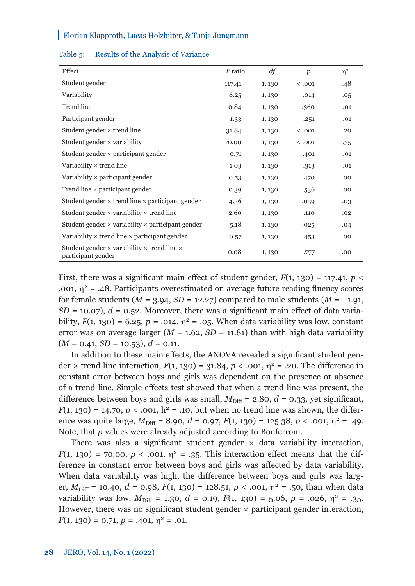| Effect                                                                                 | F ratio | df     | $\boldsymbol{p}$ | $\eta^2$ |
|----------------------------------------------------------------------------------------|---------|--------|------------------|----------|
| Student gender                                                                         | 117.41  | 1, 130 | < .001           | .48      |
| Variability                                                                            | 6.25    | 1, 130 | .014             | .05      |
| Trend line                                                                             | 0.84    | 1, 130 | .360             | .01      |
| Participant gender                                                                     | 1.33    | 1, 130 | .251             | .01      |
| Student gender $\times$ trend line                                                     | 31.84   | 1, 130 | < .001           | .20      |
| Student gender $\times$ variability                                                    | 70.00   | 1, 130 | < .001           | $-35$    |
| Student gender $\times$ participant gender                                             | 0.71    | 1, 130 | .401             | .01      |
| Variability $\times$ trend line                                                        | 1.03    | 1, 130 | .313             | .01      |
| Variability $\times$ participant gender                                                | 0.53    | 1, 130 | .470             | .00      |
| Trend line $\times$ participant gender                                                 | 0.39    | 1, 130 | .536             | .00      |
| Student gender $\times$ trend line $\times$ participant gender                         | 4.36    | 1, 130 | .039             | .03      |
| Student gender $\times$ variability $\times$ trend line                                | 2.60    | 1, 130 | .110             | .02      |
| Student gender $\times$ variability $\times$ participant gender                        | 5.18    | 1, 130 | .025             | .04      |
| Variability $\times$ trend line $\times$ participant gender                            | 0.57    | 1, 130 | $-453$           | .00      |
| Student gender $\times$ variability $\times$ trend line $\times$<br>participant gender | 0.08    | 1, 130 | .777             | .00      |

#### Table 5: Results of the Analysis of Variance

First, there was a significant main effect of student gender,  $F(1, 130) = 117.41$ ,  $p <$ .001,  $\eta^2$  = .48. Participants overestimated on average future reading fluency scores for female students ( $M = 3.94$ ,  $SD = 12.27$ ) compared to male students ( $M = -1.91$ ,  $SD = 10.07$ ,  $d = 0.52$ . Moreover, there was a significant main effect of data variability,  $F(1, 130) = 6.25$ ,  $p = .014$ ,  $y^2 = .05$ . When data variability was low, constant error was on average larger  $(M = 1.62, SD = 11.81)$  than with high data variability  $(M = 0.41, SD = 10.53), d = 0.11.$ 

In addition to these main effects, the ANOVA revealed a significant student gender  $\times$  trend line interaction,  $F(1, 130) = 31.84$ ,  $p < .001$ ,  $\eta^2 = .20$ . The difference in constant error between boys and girls was dependent on the presence or absence of a trend line. Simple effects test showed that when a trend line was present, the difference between boys and girls was small,  $M_{\text{Diff}} = 2.80$ ,  $d = 0.33$ , yet significant,  $F(1, 130) = 14.70, p < .001, h^2 = .10$ , but when no trend line was shown, the difference was quite large,  $M_{\text{Diff}} = 8.90$ ,  $d = 0.97$ ,  $F(1, 130) = 125.38$ ,  $p < .001$ ,  $\eta^2 = .49$ . Note, that *p* values were already adjusted according to Bonferroni.

There was also a significant student gender  $\times$  data variability interaction, *F*(1, 130) = 70.00, *p* < .001,  $\eta^2$  = .35. This interaction effect means that the difference in constant error between boys and girls was affected by data variability. When data variability was high, the difference between boys and girls was larger,  $M_{\text{Diff}}$  = 10.40,  $d$  = 0.98,  $F(1, 130)$  = 128.51,  $p$  < .001,  $\eta^2$  = .50, than when data variability was low,  $M_{\text{Diff}} = 1.30$ ,  $d = 0.19$ ,  $F(1, 130) = 5.06$ ,  $p = .026$ ,  $\eta^2 = .35$ . However, there was no significant student gender  $\times$  participant gender interaction,  $F(1, 130) = 0.71, p = .401, \eta^2 = .01.$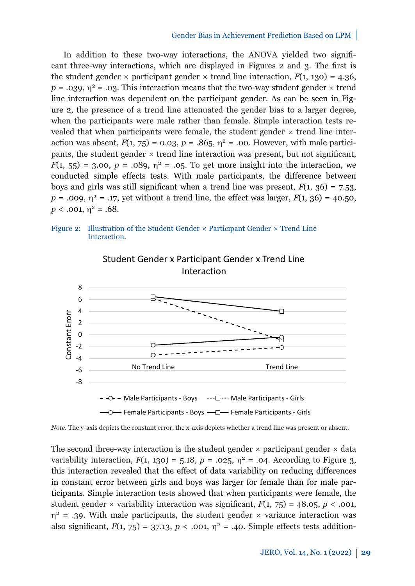In addition to these two-way interactions, the ANOVA yielded two significant three-way interactions, which are displayed in Figures 2 and 3. The first is the student gender  $\times$  participant gender  $\times$  trend line interaction,  $F(1, 130) = 4.36$ ,  $p = .039$ ,  $n^2 = .03$ . This interaction means that the two-way student gender  $\times$  trend line interaction was dependent on the participant gender. As can be seen in Figure 2, the presence of a trend line attenuated the gender bias to a larger degree, when the participants were male rather than female. Simple interaction tests revealed that when participants were female, the student gender  $\times$  trend line interaction was absent,  $F(1, 75) = 0.03$ ,  $p = .865$ ,  $y^2 = .00$ . However, with male participants, the student gender × trend line interaction was present, but not significant,  $F(1, 55) = 3.00, p = .089, n^2 = .05$ . To get more insight into the interaction, we conducted simple effects tests. With male participants, the difference between boys and girls was still significant when a trend line was present,  $F(1, 36) = 7.53$ ,  $p = .009, \eta^2 = .17$ , yet without a trend line, the effect was larger,  $F(1, 36) = 40.50$ ,  $p < .001$ ,  $\eta^2 = .68$ .

Figure 2: Illustration of the Student Gender × Participant Gender × Trend Line Interaction.





The second three-way interaction is the student gender  $\times$  participant gender  $\times$  data variability interaction,  $F(1, 130) = 5.18$ ,  $p = .025$ ,  $n^2 = .04$ . According to Figure 3, this interaction revealed that the effect of data variability on reducing differences in constant error between girls and boys was larger for female than for male participants. Simple interaction tests showed that when participants were female, the student gender  $\times$  variability interaction was significant,  $F(1, 75) = 48.05$ ,  $p \lt 0.001$ ,  $\eta^2$  = .39. With male participants, the student gender  $\times$  variance interaction was also significant,  $F(1, 75) = 37.13$ ,  $p < .001$ ,  $\eta^2 = .40$ . Simple effects tests addition-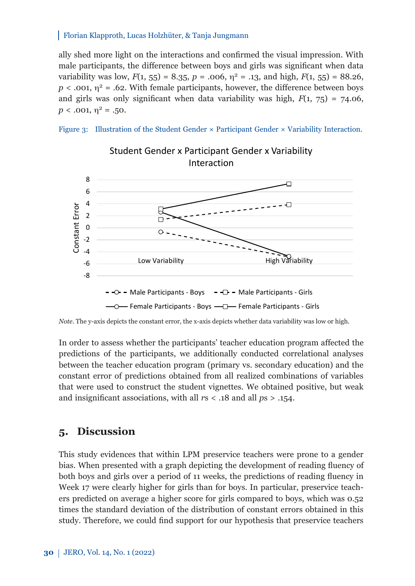ally shed more light on the interactions and confirmed the visual impression. With male participants, the difference between boys and girls was significant when data variability was low,  $F(1, 55) = 8.35$ ,  $p = .006$ ,  $\eta^2 = .13$ , and high,  $F(1, 55) = 88.26$ ,  $p < .001$ ,  $\eta^2 = .62$ . With female participants, however, the difference between boys and girls was only significant when data variability was high,  $F(1, 75) = 74.06$ ,  $p < .001$ ,  $\eta^2 = .50$ .





*Note.* The y-axis depicts the constant error, the x-axis depicts whether data variability was low or high.

In order to assess whether the participants' teacher education program affected the predictions of the participants, we additionally conducted correlational analyses between the teacher education program (primary vs. secondary education) and the constant error of predictions obtained from all realized combinations of variables that were used to construct the student vignettes. We obtained positive, but weak and insignificant associations, with all *r*s < .18 and all *p*s > .154.

# **5. Discussion**

This study evidences that within LPM preservice teachers were prone to a gender bias. When presented with a graph depicting the development of reading fluency of both boys and girls over a period of 11 weeks, the predictions of reading fluency in Week 17 were clearly higher for girls than for boys. In particular, preservice teachers predicted on average a higher score for girls compared to boys, which was 0.52 times the standard deviation of the distribution of constant errors obtained in this study. Therefore, we could find support for our hypothesis that preservice teachers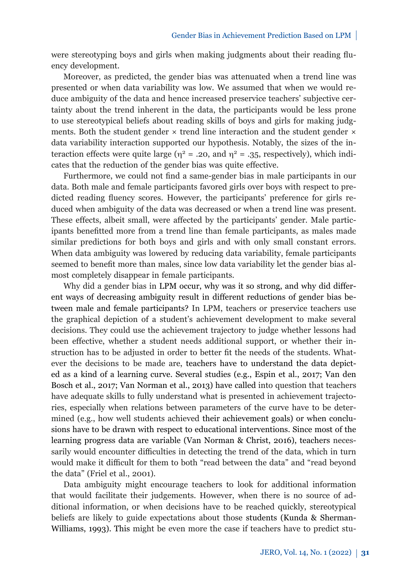were stereotyping boys and girls when making judgments about their reading fluency development.

Moreover, as predicted, the gender bias was attenuated when a trend line was presented or when data variability was low. We assumed that when we would reduce ambiguity of the data and hence increased preservice teachers' subjective certainty about the trend inherent in the data, the participants would be less prone to use stereotypical beliefs about reading skills of boys and girls for making judgments. Both the student gender  $\times$  trend line interaction and the student gender  $\times$ data variability interaction supported our hypothesis. Notably, the sizes of the interaction effects were quite large ( $\eta^2$  = .20, and  $\eta^2$  = .35, respectively), which indicates that the reduction of the gender bias was quite effective.

Furthermore, we could not find a same-gender bias in male participants in our data. Both male and female participants favored girls over boys with respect to predicted reading fluency scores. However, the participants' preference for girls reduced when ambiguity of the data was decreased or when a trend line was present. These effects, albeit small, were affected by the participants' gender. Male participants benefitted more from a trend line than female participants, as males made similar predictions for both boys and girls and with only small constant errors. When data ambiguity was lowered by reducing data variability, female participants seemed to benefit more than males, since low data variability let the gender bias almost completely disappear in female participants.

Why did a gender bias in LPM occur, why was it so strong, and why did different ways of decreasing ambiguity result in different reductions of gender bias between male and female participants? In LPM, teachers or preservice teachers use the graphical depiction of a student's achievement development to make several decisions. They could use the achievement trajectory to judge whether lessons had been effective, whether a student needs additional support, or whether their instruction has to be adjusted in order to better fit the needs of the students. Whatever the decisions to be made are, teachers have to understand the data depicted as a kind of a learning curve. Several studies (e.g., Espin et al., 2017; Van den Bosch et al., 2017; Van Norman et al., 2013) have called into question that teachers have adequate skills to fully understand what is presented in achievement trajectories, especially when relations between parameters of the curve have to be determined (e.g., how well students achieved their achievement goals) or when conclusions have to be drawn with respect to educational interventions. Since most of the learning progress data are variable (Van Norman & Christ, 2016), teachers necessarily would encounter difficulties in detecting the trend of the data, which in turn would make it difficult for them to both "read between the data" and "read beyond the data" (Friel et al., 2001).

Data ambiguity might encourage teachers to look for additional information that would facilitate their judgements. However, when there is no source of additional information, or when decisions have to be reached quickly, stereotypical beliefs are likely to guide expectations about those students (Kunda & Sherman-Williams, 1993). This might be even more the case if teachers have to predict stu-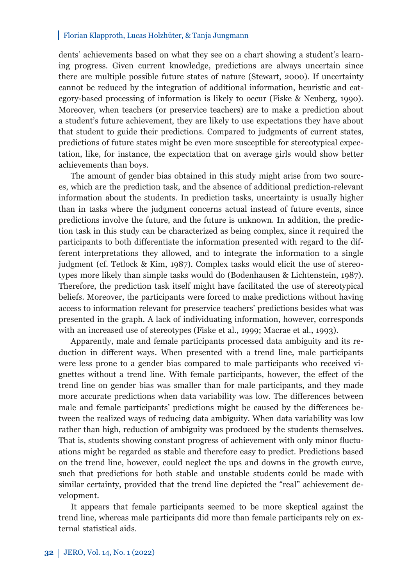dents' achievements based on what they see on a chart showing a student's learning progress. Given current knowledge, predictions are always uncertain since there are multiple possible future states of nature (Stewart, 2000). If uncertainty cannot be reduced by the integration of additional information, heuristic and category-based processing of information is likely to occur (Fiske & Neuberg, 1990). Moreover, when teachers (or preservice teachers) are to make a prediction about a student's future achievement, they are likely to use expectations they have about that student to guide their predictions. Compared to judgments of current states, predictions of future states might be even more susceptible for stereotypical expectation, like, for instance, the expectation that on average girls would show better achievements than boys.

The amount of gender bias obtained in this study might arise from two sources, which are the prediction task, and the absence of additional prediction-relevant information about the students. In prediction tasks, uncertainty is usually higher than in tasks where the judgment concerns actual instead of future events, since predictions involve the future, and the future is unknown. In addition, the prediction task in this study can be characterized as being complex, since it required the participants to both differentiate the information presented with regard to the different interpretations they allowed, and to integrate the information to a single judgment (cf. Tetlock & Kim, 1987). Complex tasks would elicit the use of stereotypes more likely than simple tasks would do (Bodenhausen & Lichtenstein, 1987). Therefore, the prediction task itself might have facilitated the use of stereotypical beliefs. Moreover, the participants were forced to make predictions without having access to information relevant for preservice teachers' predictions besides what was presented in the graph. A lack of individuating information, however, corresponds with an increased use of stereotypes (Fiske et al., 1999; Macrae et al., 1993).

Apparently, male and female participants processed data ambiguity and its reduction in different ways. When presented with a trend line, male participants were less prone to a gender bias compared to male participants who received vignettes without a trend line. With female participants, however, the effect of the trend line on gender bias was smaller than for male participants, and they made more accurate predictions when data variability was low. The differences between male and female participants' predictions might be caused by the differences between the realized ways of reducing data ambiguity. When data variability was low rather than high, reduction of ambiguity was produced by the students themselves. That is, students showing constant progress of achievement with only minor fluctuations might be regarded as stable and therefore easy to predict. Predictions based on the trend line, however, could neglect the ups and downs in the growth curve, such that predictions for both stable and unstable students could be made with similar certainty, provided that the trend line depicted the "real" achievement development.

It appears that female participants seemed to be more skeptical against the trend line, whereas male participants did more than female participants rely on external statistical aids.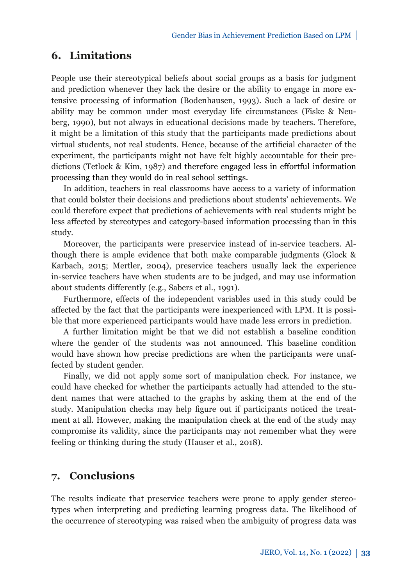# **6. Limitations**

People use their stereotypical beliefs about social groups as a basis for judgment and prediction whenever they lack the desire or the ability to engage in more extensive processing of information (Bodenhausen, 1993). Such a lack of desire or ability may be common under most everyday life circumstances (Fiske & Neuberg, 1990), but not always in educational decisions made by teachers. Therefore, it might be a limitation of this study that the participants made predictions about virtual students, not real students. Hence, because of the artificial character of the experiment, the participants might not have felt highly accountable for their predictions (Tetlock & Kim, 1987) and therefore engaged less in effortful information processing than they would do in real school settings.

In addition, teachers in real classrooms have access to a variety of information that could bolster their decisions and predictions about students' achievements. We could therefore expect that predictions of achievements with real students might be less affected by stereotypes and category-based information processing than in this study.

Moreover, the participants were preservice instead of in-service teachers. Although there is ample evidence that both make comparable judgments (Glock & Karbach, 2015; Mertler, 2004), preservice teachers usually lack the experience in-service teachers have when students are to be judged, and may use information about students differently (e.g., Sabers et al., 1991).

Furthermore, effects of the independent variables used in this study could be affected by the fact that the participants were inexperienced with LPM. It is possible that more experienced participants would have made less errors in prediction.

A further limitation might be that we did not establish a baseline condition where the gender of the students was not announced. This baseline condition would have shown how precise predictions are when the participants were unaffected by student gender.

Finally, we did not apply some sort of manipulation check. For instance, we could have checked for whether the participants actually had attended to the student names that were attached to the graphs by asking them at the end of the study. Manipulation checks may help figure out if participants noticed the treatment at all. However, making the manipulation check at the end of the study may compromise its validity, since the participants may not remember what they were feeling or thinking during the study (Hauser et al., 2018).

# **7. Conclusions**

The results indicate that preservice teachers were prone to apply gender stereotypes when interpreting and predicting learning progress data. The likelihood of the occurrence of stereotyping was raised when the ambiguity of progress data was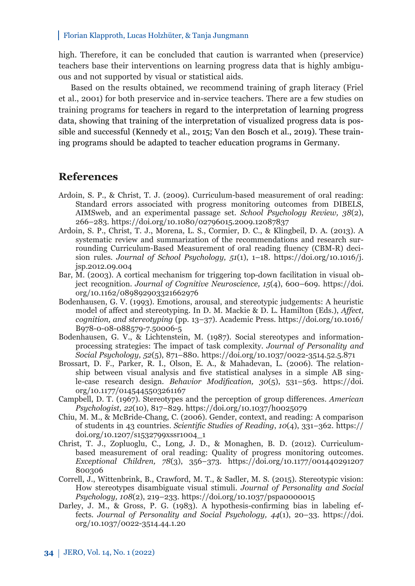high. Therefore, it can be concluded that caution is warranted when (preservice) teachers base their interventions on learning progress data that is highly ambiguous and not supported by visual or statistical aids.

Based on the results obtained, we recommend training of graph literacy (Friel et al., 2001) for both preservice and in-service teachers. There are a few studies on training programs for teachers in regard to the interpretation of learning progress data, showing that training of the interpretation of visualized progress data is possible and successful (Kennedy et al., 2015; Van den Bosch et al., 2019). These training programs should be adapted to teacher education programs in Germany.

# **References**

- Ardoin, S. P., & Christ, T. J. (2009). Curriculum-based measurement of oral reading: Standard errors associated with progress monitoring outcomes from DIBELS, AIMSweb, and an experimental passage set. *School Psychology Review, 38*(2), 266–283. <https://doi.org/10.1080/02796015.2009.12087837>
- Ardoin, S. P., Christ, T. J., Morena, L. S., Cormier, D. C., & Klingbeil, D. A. (2013). A systematic review and summarization of the recommendations and research surrounding Curriculum-Based Measurement of oral reading fluency (CBM-R) decision rules. *Journal of School Psychology, 51*(1), 1–18. [https://doi.org/10.1016/j.](https://doi.org/10.1016/j.jsp.2012.09.004) [jsp.2012.09.004](https://doi.org/10.1016/j.jsp.2012.09.004)
- Bar, M. (2003). A cortical mechanism for triggering top-down facilitation in visual object recognition. *Journal of Cognitive Neuroscience, 15*(4), 600–609. [https://doi.](https://doi.org/10.1162/089892903321662976) [org/10.1162/089892903321662976](https://doi.org/10.1162/089892903321662976)
- Bodenhausen, G. V. (1993). Emotions, arousal, and stereotypic judgements: A heuristic model of affect and stereotyping. In D. M. Mackie & D. L. Hamilton (Eds.), *Affect, cognition, and stereotyping* (pp. 13–37). Academic Press. [https://doi.org/10.1016/](https://doi.org/10.1016/B978-0-08-088579-7.50006-5) [B978-0-08-088579-7.50006-5](https://doi.org/10.1016/B978-0-08-088579-7.50006-5)
- Bodenhausen, G. V., & Lichtenstein, M. (1987). Social stereotypes and informationprocessing strategies: The impact of task complexity. *Journal of Personality and Social Psychology, 52*(5), 871–880. [https://doi.org/10.1037/0022-3514.52.5.871](https://psycnet.apa.org/doi/10.1037/0022-3514.52.5.871)
- Brossart, D. F., Parker, R. I., Olson, E. A., & Mahadevan, L. (2006). The relationship between visual analysis and five statistical analyses in a simple AB single-case research design. *Behavior Modification, 30*(5), 531–563. [https://doi.](https://doi.org/10.1177%2F0145445503261167) [org/10.1177/0145445503261167](https://doi.org/10.1177%2F0145445503261167)
- Campbell, D. T. (1967). Stereotypes and the perception of group differences. *American Psychologist, 22*(10), 817–829. [https://doi.org/10.1037/h0025079](https://psycnet.apa.org/doi/10.1037/h0025079)
- Chiu, M. M., & McBride-Chang, C. (2006). Gender, context, and reading: A comparison of students in 43 countries. *Scientific Studies of Reading*, *10*(4), 331–362. https:// doi.org/10.1207/s1532799xssr1004\_1
- Christ, T. J., Zopluoglu, C., Long, J. D., & Monaghen, B. D. (2012). Curriculumbased measurement of oral reading: Quality of progress monitoring outcomes. *Exceptional Children, 78*(3), 356–373. [https://doi.org/10.1177/001440291207](https://doi.org/10.1177%2F001440291207800306) [800306](https://doi.org/10.1177%2F001440291207800306)
- Correll, J., Wittenbrink, B., Crawford, M. T., & Sadler, M. S. (2015). Stereotypic vision: How stereotypes disambiguate visual stimuli. *Journal of Personality and Social Psychology, 108*(2), 219–233. [https://doi.org/10.1037/pspa0000015](https://psycnet.apa.org/doi/10.1037/pspa0000015)
- Darley, J. M., & Gross, P. G. (1983). A hypothesis-confirming bias in labeling effects. *Journal of Personality and Social Psychology, 44*(1), 20–33. [https://doi.](https://psycnet.apa.org/doi/10.1037/0022-3514.44.1.20) [org/10.1037/0022-3514.44.1.20](https://psycnet.apa.org/doi/10.1037/0022-3514.44.1.20)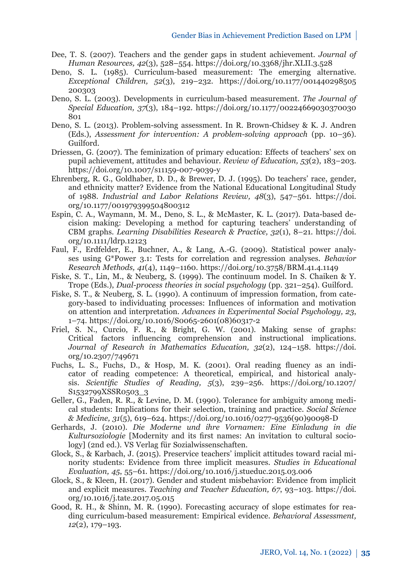- Dee, T. S. (2007). Teachers and the gender gaps in student achievement. *Journal of Human Resources, 42*(3), 528–554. <https://doi.org/10.3368/jhr.XLII.3.528>
- Deno, S. L. (1985). Curriculum-based measurement: The emerging alternative. *Exceptional Children, 52*(3), 219–232. [https://doi.org/10.1177/001440298505](https://doi.org/10.1177%2F001440298505200303)  [200303](https://doi.org/10.1177%2F001440298505200303)
- Deno, S. L. (2003). Developments in curriculum-based measurement. *The Journal of Special Education, 37*(3), 184–192. [https://doi.org/10.1177/00224669030370030](https://doi.org/10.1177%2F00224669030370030801) [801](https://doi.org/10.1177%2F00224669030370030801)
- Deno, S. L. (2013). Problem-solving assessment. In R. Brown-Chidsey & K. J. Andren (Eds.), *Assessment for intervention: A problem-solving approach* (pp. 10–36). Guilford.
- Driessen, G. (2007). The feminization of primary education: Effects of teachers' sex on pupil achievement, attitudes and behaviour. *Review of Education, 53*(2), 183–203. <https://doi.org/10.1007/s11159-007-9039-y>
- Ehrenberg, R. G., Goldhaber, D. D., & Brewer, D. J. (1995). Do teachers' race, gender, and ethnicity matter? Evidence from the National Educational Longitudinal Study of 1988. *Industrial and Labor Relations Review, 48*(3), 547–561. [https://doi.](https://doi.org/10.1177%2F001979399504800312) [org/10.1177/001979399504800312](https://doi.org/10.1177%2F001979399504800312)
- Espin, C. A., Waymann, M. M., Deno, S. L., & McMaster, K. L. (2017). Data-based decision making: Developing a method for capturing teachers' understanding of CBM graphs. *Learning Disabilities Research & Practice, 32*(1), 8–21. [https://doi.](https://doi.org/10.1111/ldrp.12123) [org/10.1111/ldrp.12123](https://doi.org/10.1111/ldrp.12123)
- Faul, F., Erdfelder, E., Buchner, A., & Lang, A.-G. (2009). Statistical power analyses using G\*Power 3.1: Tests for correlation and regression analyses. *Behavior Research Methods, 41*(4), 1149–1160. <https://doi.org/10.3758/BRM.41.4.1149>
- Fiske, S. T., Lin, M., & Neuberg, S. (1999). The continuum model. In S. Chaiken & Y. Trope (Eds.), *Dual-process theories in social psychology* (pp. 321–254). Guilford.
- Fiske, S. T., & Neuberg, S. L. (1990). A continuum of impression formation, from category-based to individuating processes: Influences of information and motivation on attention and interpretation. *Advances in Experimental Social Psychology, 23*, 1–74. [https://doi.org/10.1016/S0065-2601\(08\)60317-2](https://doi.org/10.1016/S0065-2601(08)60317-2)
- Friel, S. N., Curcio, F. R., & Bright, G. W. (2001). Making sense of graphs: Critical factors influencing comprehension and instructional implications. *Journal of Research in Mathematics Education, 32*(2), 124–158. [https://doi.](https://doi.org/10.2307/749671) [org/10.2307/749671](https://doi.org/10.2307/749671)
- Fuchs, L. S., Fuchs, D., & Hosp, M. K. (2001). Oral reading fluency as an indicator of reading competence: A theoretical, empirical, and historical analysis. *Scientific Studies of Reading, 5*(3), 239–256. [https://doi.org/10.1207/](https://doi.org/10.1207/S1532799XSSR0503_3) S<sub>1532799</sub>XSSR0503\_3
- Geller, G., Faden, R. R., & Levine, D. M. (1990). Tolerance for ambiguity among medical students: Implications for their selection, training and practice. *Social Science & Medicine, 31*(5), 619–624. [https://doi.org/10.1016/0277-9536\(90\)90098-D](https://doi.org/10.1016/0277-9536(90)90098-D)
- Gerhards, J. (2010). *Die Moderne und ihre Vornamen: Eine Einladung in die Kultursoziologie* [Modernity and its first names: An invitation to cultural sociology] (2nd ed.). VS Verlag für Sozialwissenschaften.
- Glock, S., & Karbach, J. (2015). Preservice teachers' implicit attitudes toward racial minority students: Evidence from three implicit measures. *Studies in Educational Evaluation, 45*, 55–61. <https://doi.org/10.1016/j.stueduc.2015.03.006>
- Glock, S., & Kleen, H. (2017). Gender and student misbehavior: Evidence from implicit and explicit measures. *Teaching and Teacher Education, 67*, 93–103. [https://doi.](https://doi.org/10.1016/j.tate.2017.05.015) [org/10.1016/j.tate.2017.05.015](https://doi.org/10.1016/j.tate.2017.05.015)
- Good, R. H., & Shinn, M. R. (1990). Forecasting accuracy of slope estimates for reading curriculum-based measurement: Empirical evidence. *Behavioral Assessment, 12*(2), 179–193.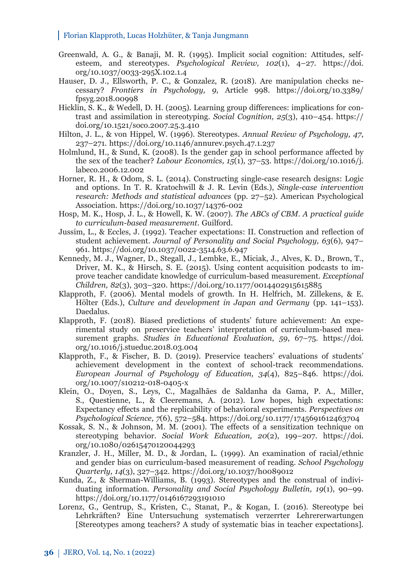- Greenwald, A. G., & Banaji, M. R. (1995). Implicit social cognition: Attitudes, selfesteem, and stereotypes. *Psychological Review, 102*(1), 4–27. https://doi. [org/10.1037/0033-295X.102.1.4](https://doi.org/10.1037/0033-295X.102.1.4)
- Hauser, D. J., Ellsworth, P. C., & Gonzalez, R. (2018). Are manipulation checks necessary? *Frontiers in Psychology, 9*, Article 998. [https://doi.org/10.3389/](https://doi.org/%2010.3389/fpsyg.2018.00998) [fpsyg.2018.00998](https://doi.org/%2010.3389/fpsyg.2018.00998)
- Hicklin, S. K., & Wedell, D. H. (2005). Learning group differences: implications for contrast and assimilation in stereotyping. *Social Cognition, 25*(3), 410–454. [https://](https://doi.org/10.1521/soco.2007.25.3.410) [doi.org/10.1521/soco.2007.25.3.410](https://doi.org/10.1521/soco.2007.25.3.410)
- Hilton, J. L., & von Hippel, W. (1996). Stereotypes. *Annual Review of Psychology, 47*, 237–271. <https://doi.org/10.1146/annurev.psych.47.1.237>
- Holmlund, H., & Sund, K. (2008). Is the gender gap in school performance affected by the sex of the teacher? *Labour Economics, 15*(1)*,* 37–53. [https://doi.org/10.1016/j.](https://doi.org/10.1016/j.labeco.2006.12.002) [labeco.2006.12.002](https://doi.org/10.1016/j.labeco.2006.12.002)
- Horner, R. H., & Odom, S. L. (2014). Constructing single-case research designs: Logic and options. In T. R. Kratochwill & J. R. Levin (Eds.), *Single-case intervention research: Methods and statistical advances* (pp. 27–52). American Psychological Association. [https://doi.org/10.1037/14376-002](https://psycnet.apa.org/doi/10.1037/14376-002)
- Hosp, M. K., Hosp, J. L., & Howell, K. W. (2007). *The ABCs of CBM. A practical guide to curriculum-based measurement*. Guilford.
- Jussim, L., & Eccles, J. (1992). Teacher expectations: II. Construction and reflection of student achievement. *Journal of Personality and Social Psychology, 63*(6), 947– 961. [https://doi.org/10.1037/0022-3514.63.6.947](https://psycnet.apa.org/doi/10.1037/0022-3514.63.6.947)
- Kennedy, M. J., Wagner, D., Stegall, J., Lembke, E., Miciak, J., Alves, K. D., Brown, T., Driver, M. K., & Hirsch, S. E. (2015). Using content acquisition podcasts to improve teacher candidate knowledge of curriculum-based measurement. *Exceptional Children, 82*(3), 303–320. [https://doi.org/10.1177/0014402915615885](https://doi.org/10.1177%2F0014402915615885)
- Klapproth, F. (2006). Mental models of growth. In H. Helfrich, M. Zillekens, & E. Hölter (Eds.), *Culture and development in Japan and Germany* (pp. 141–153). Daedalus.
- Klapproth, F. (2018). Biased predictions of students' future achievement: An experimental study on preservice teachers' interpretation of curriculum-based measurement graphs. *Studies in Educational Evaluation*, *59*, 67–75. [https://doi.](https://doi.org/10.1016/j.stueduc.2018.03.004) [org/10.1016/j.stueduc.2018.03.004](https://doi.org/10.1016/j.stueduc.2018.03.004)
- Klapproth, F., & Fischer, B. D. (2019). Preservice teachers' evaluations of students' achievement development in the context of school-track recommendations. *European Journal of Psychology of Education, 34*(4), 825–846. [https://doi.](https://doi.org/10.1007/s10212-018-0405-x) [org/10.1007/s10212-018-0405-x](https://doi.org/10.1007/s10212-018-0405-x)
- Klein, O., Doyen, S., Leys, C., Magalhães de Saldanha da Gama, P. A., Miller, S., Questienne, L., & Cleeremans, A. (2012). Low hopes, high expectations: Expectancy effects and the replicability of behavioral experiments. *Perspectives on Psychological Science, 7*(6), 572–584. [https://doi.org/10.1177/1745691612463704](https://doi.org/10.1177%2F1745691612463704)
- Kossak, S. N., & Johnson, M. M. (2001). The effects of a sensitization technique on stereotyping behavior. *Social Work Education, 20*(2), 199–207. [https://doi.](https://doi.org/10.1080/02615470120044293) [org/10.1080/02615470120044293](https://doi.org/10.1080/02615470120044293)
- Kranzler, J. H., Miller, M. D., & Jordan, L. (1999). An examination of racial/ethnic and gender bias on curriculum-based measurement of reading. *School Psychology Quarterly, 14*(3), 327–342. [https://doi.org/10.1037/h0089012](https://psycnet.apa.org/doi/10.1037/h0089012)
- Kunda, Z., & Sherman-Williams, B. (1993). Stereotypes and the construal of individuating information. *Personality and Social Psychology Bulletin, 19*(1), 90–99. [https://doi.org/10.1177/0146167293191010](https://doi.org/10.1177%2F0146167293191010)
- Lorenz, G., Gentrup, S., Kristen, C., Stanat, P., & Kogan, I. (2016). Stereotype bei Lehrkräften? Eine Untersuchung systematisch verzerrter Lehrererwartungen [Stereotypes among teachers? A study of systematic bias in teacher expectations].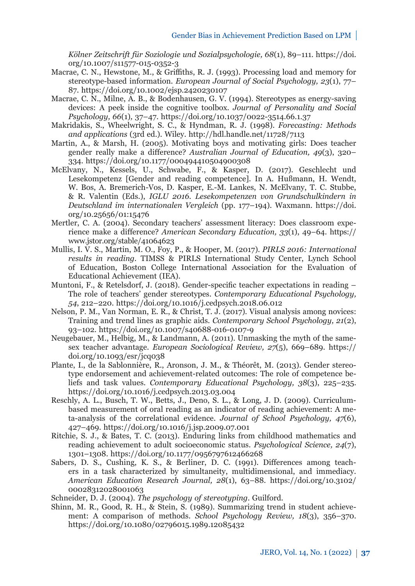*Kölner Zeitschrift für Soziologie und Sozialpsychologie, 68*(1), 89–111. [https://doi.](https://doi.org/10.1007/s11577-015-0352-3) [org/10.1007/s11577-015-0352-3](https://doi.org/10.1007/s11577-015-0352-3)

- Macrae, C. N., Hewstone, M., & Griffiths, R. J. (1993). Processing load and memory for stereotype-based information. *European Journal of Social Psychology, 23*(1), 77– 87. <https://doi.org/10.1002/ejsp.2420230107>
- Macrae, C. N., Milne, A. B., & Bodenhausen, G. V. (1994). Stereotypes as energy-saving devices: A peek inside the cognitive toolbox. *Journal of Personality and Social Psychology, 66*(1)*,* 37–47. [https://doi.org/10.1037/0022-3514.66.1.37](https://psycnet.apa.org/doi/10.1037/0022-3514.66.1.37)
- Makridakis, S., Wheelwright, S. C., & Hyndman, R. J. (1998). *Forecasting: Methods and applications* (3rd ed.). Wiley. http://hdl.handle.net/11728/7113
- Martin, A., & Marsh, H. (2005). Motivating boys and motivating girls: Does teacher gender really make a difference? *Australian Journal of Education, 49*(3), 320– 334. [https://doi.org/10.1177/000494410504900308](https://doi.org/10.1177%2F000494410504900308)
- McElvany, N., Kessels, U., Schwabe, F., & Kasper, D. (2017). Geschlecht und Lesekompetenz [Gender and reading competence]. In A. Hußmann, H. Wendt, W. Bos, A. Bremerich-Vos, D. Kasper, E.-M. Lankes, N. McElvany, T. C. Stubbe, & R. Valentin (Eds.), *IGLU 2016. Lesekompetenzen von Grundschulkindern in [Deutschland im internationalen Vergleich](https://doi.org/10.25656/01:15476)* (pp. 177–194). Waxmann. https://doi. org/10.25656/01:15476
- Mertler, C. A. (2004). Secondary teachers' assessment literacy: Does classroom experience make a difference? *American Secondary Education, 33*(1), 49–64. [https://](https://www.jstor.org/stable/41064623) [www.jstor.org/stable/41064623](https://www.jstor.org/stable/41064623)
- Mullis, I. V. S., Martin, M. O., Foy, P., & Hooper, M. (2017). *PIRLS 2016: International results in reading*. TIMSS & PIRLS International Study Center, Lynch School of Education, Boston College International Association for the Evaluation of Educational Achievement (IEA).
- Muntoni, F., & Retelsdorf, J. (2018). Gender-specific teacher expectations in reading The role of teachers' gender stereotypes. *Contemporary Educational Psychology, 54*, 212–220. <https://doi.org/10.1016/j.cedpsych.2018.06.012>
- Nelson, P. M., Van Norman, E. R., & Christ, T. J. (2017). Visual analysis among novices: Training and trend lines as graphic aids. *Contemporary School Psychology, 21*(2), 93–102. <https://doi.org/10.1007/s40688-016-0107-9>
- Neugebauer, M., Helbig, M., & Landmann, A. (2011). Unmasking the myth of the samesex teacher advantage*. European Sociological Review, 27*(5), 669–689. [https://](https://doi.org/10.1093/esr/jcq038) [doi.org/10.1093/esr/jcq038](https://doi.org/10.1093/esr/jcq038)
- Plante, I., de la Sablonnière, R., Aronson, J. M., & Théorêt, M. (2013). Gender stereotype endorsement and achievement-related outcomes: The role of competence beliefs and task values. *Contemporary Educational Psychology, 38*(3), 225–235. <https://doi.org/10.1016/j.cedpsych.2013.03.004>
- Reschly, A. L., Busch, T. W., Betts, J., Deno, S. L., & Long, J. D. (2009). Curriculumbased measurement of oral reading as an indicator of reading achievement: A meta-analysis of the correlational evidence. *Journal of School Psychology, 47*(6), 427–469. <https://doi.org/10.1016/j.jsp.2009.07.001>
- Ritchie, S. J., & Bates, T. C. (2013). Enduring links from childhood mathematics and reading achievement to adult socioeconomic status. *Psychological Science, 24*(7), 1301–1308. [https://doi.org/10.1177/0956797612466268](https://doi.org/10.1177%2F0956797612466268)
- Sabers, D. S., Cushing, K. S., & Berliner, D. C. (1991). Differences among teachers in a task characterized by simultaneity, multidimensional, and immediacy. *American Education Research Journal, 28*(1), 63–88. [https://doi.org/10.3102/](https://doi.org/10.3102%2F00028312028001063)  [00028312028001063](https://doi.org/10.3102%2F00028312028001063)
- Schneider, D. J. (2004). *The psychology of stereotyping*. Guilford.
- Shinn, M. R., Good, R. H., & Stein, S. (1989). Summarizing trend in student achievement: A comparison of methods. *School Psychology Review, 18*(3), 356–370. <https://doi.org/10.1080/02796015.1989.12085432>